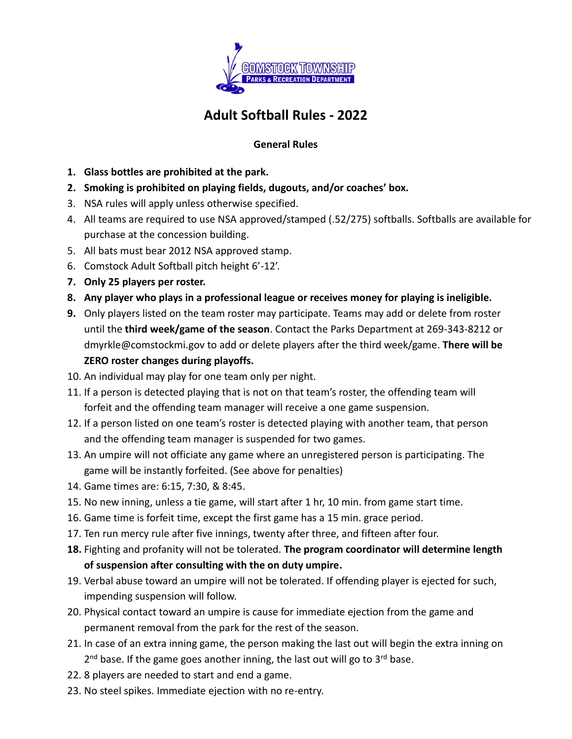

## **Adult Softball Rules - 2022**

## **General Rules**

- **1. Glass bottles are prohibited at the park.**
- **2. Smoking is prohibited on playing fields, dugouts, and/or coaches' box.**
- 3. NSA rules will apply unless otherwise specified.
- 4. All teams are required to use NSA approved/stamped (.52/275) softballs. Softballs are available for purchase at the concession building.
- 5. All bats must bear 2012 NSA approved stamp.
- 6. Comstock Adult Softball pitch height 6'-12'.
- **7. Only 25 players per roster.**
- **8. Any player who plays in a professional league or receives money for playing is ineligible.**
- **9.** Only players listed on the team roster may participate. Teams may add or delete from roster until the **third week/game of the season**. Contact the Parks Department at 269-343-8212 or dmyrkle@comstockmi.gov to add or delete players after the third week/game. **There will be ZERO roster changes during playoffs.**
- 10. An individual may play for one team only per night.
- 11. If a person is detected playing that is not on that team's roster, the offending team will forfeit and the offending team manager will receive a one game suspension.
- 12. If a person listed on one team's roster is detected playing with another team, that person and the offending team manager is suspended for two games.
- 13. An umpire will not officiate any game where an unregistered person is participating. The game will be instantly forfeited. (See above for penalties)
- 14. Game times are: 6:15, 7:30, & 8:45.
- 15. No new inning, unless a tie game, will start after 1 hr, 10 min. from game start time.
- 16. Game time is forfeit time, except the first game has a 15 min. grace period.
- 17. Ten run mercy rule after five innings, twenty after three, and fifteen after four.
- **18.** Fighting and profanity will not be tolerated. **The program coordinator will determine length of suspension after consulting with the on duty umpire.**
- 19. Verbal abuse toward an umpire will not be tolerated. If offending player is ejected for such, impending suspension will follow.
- 20. Physical contact toward an umpire is cause for immediate ejection from the game and permanent removal from the park for the rest of the season.
- 21. In case of an extra inning game, the person making the last out will begin the extra inning on 2<sup>nd</sup> base. If the game goes another inning, the last out will go to 3<sup>rd</sup> base.
- 22. 8 players are needed to start and end a game.
- 23. No steel spikes. Immediate ejection with no re-entry.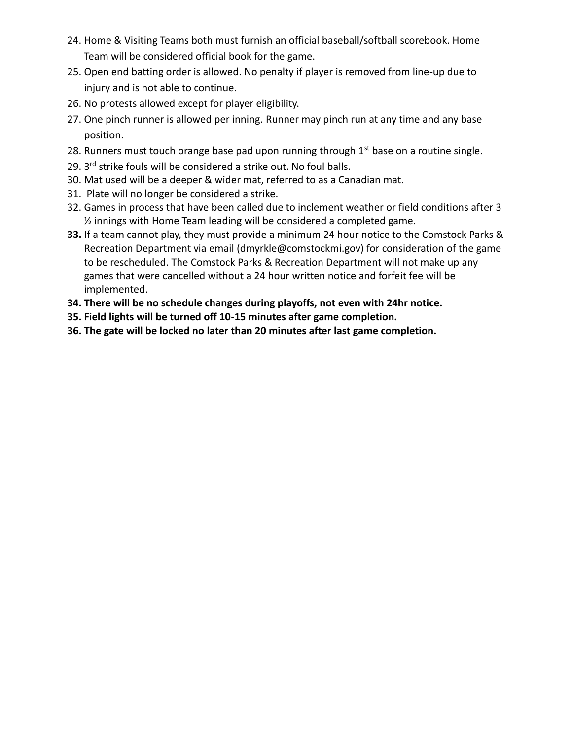- 24. Home & Visiting Teams both must furnish an official baseball/softball scorebook. Home Team will be considered official book for the game.
- 25. Open end batting order is allowed. No penalty if player is removed from line-up due to injury and is not able to continue.
- 26. No protests allowed except for player eligibility.
- 27. One pinch runner is allowed per inning. Runner may pinch run at any time and any base position.
- 28. Runners must touch orange base pad upon running through  $1<sup>st</sup>$  base on a routine single.
- 29. 3<sup>rd</sup> strike fouls will be considered a strike out. No foul balls.
- 30. Mat used will be a deeper & wider mat, referred to as a Canadian mat.
- 31. Plate will no longer be considered a strike.
- 32. Games in process that have been called due to inclement weather or field conditions after 3 ½ innings with Home Team leading will be considered a completed game.
- **33.** If a team cannot play, they must provide a minimum 24 hour notice to the Comstock Parks & Recreation Department via email (dmyrkle@comstockmi.gov) for consideration of the game to be rescheduled. The Comstock Parks & Recreation Department will not make up any games that were cancelled without a 24 hour written notice and forfeit fee will be implemented.
- **34. There will be no schedule changes during playoffs, not even with 24hr notice.**
- **35. Field lights will be turned off 10-15 minutes after game completion.**
- **36. The gate will be locked no later than 20 minutes after last game completion.**